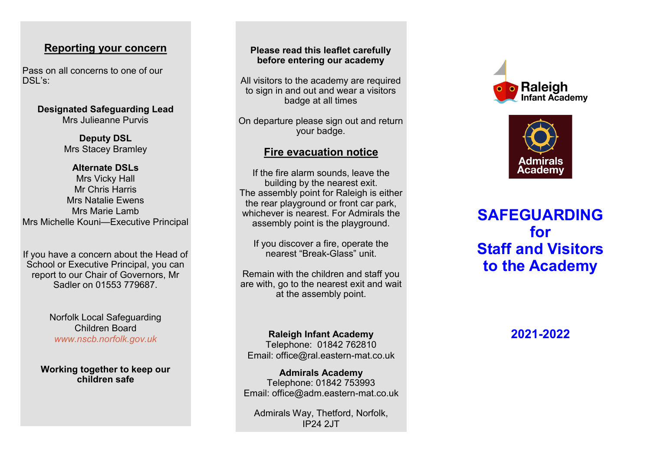## **Reporting your concern**

Pass on all concerns to one of our DSL 's:

> **Designated Safeguarding Lead** Mrs Julieanne Purvis

> > **Deputy DSL** Mrs Stacey Bramley

#### **Alternate DSLs**

Mrs Vicky Hall Mr Chris Harris Mrs Natalie Ewens Mrs Marie Lamb Mrs Michelle Kouni —Executive Principal

If you have a concern about the Head of School or Executive Principal, you can report to our Chair of Governors, Mr Sadler on 01553 779687.

> Norfolk Local Safeguarding Children Board *www.nscb.norfolk.gov.uk*

**Working together to keep our children safe**

#### **Please read this leaflet carefully before entering our academy**

All visitors to the academy are required to sign in and out and wear a visitors badge at all times

On departure please sign out and return your badge.

## **Fire evacuation notice**

If the fire alarm sounds, leave the building by the nearest exit. The assembly point for Raleigh is either the rear playground or front car park, whichever is nearest. For Admirals the assembly point is the playground.

If you discover a fire, operate the nearest "Break -Glass" unit.

Remain with the children and staff you are with, go to the nearest exit and wait at the assembly point.

**Raleigh Infant Academy** Telephone: 01842 762810 Email: office@ral.eastern -mat.co.uk

**Admirals Academy** Telephone: 01842 753993 Email: office@adm.eastern -mat.co.uk

Admirals Way, Thetford, Norfolk, IP24 2JT





**SAFEGUARDING for Staff and Visitors to the Academy**

**2021 -2022**